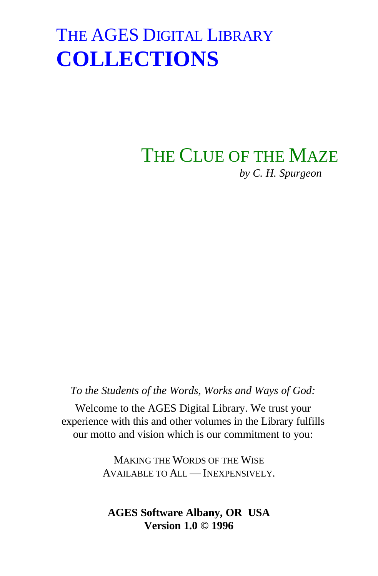## THE CLUE OF THE MAZE *by C. H. Spurgeon*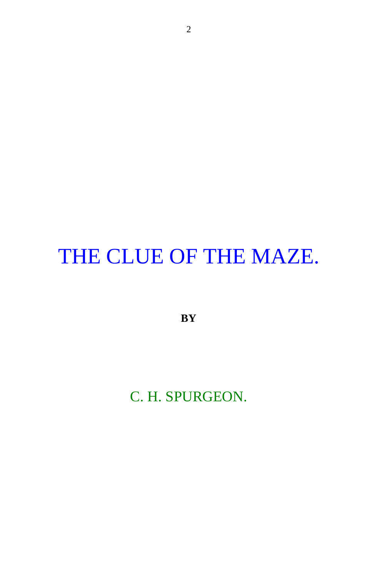# THE CLUE OF THE MAZE.

**BY**

C. H. SPURGEON.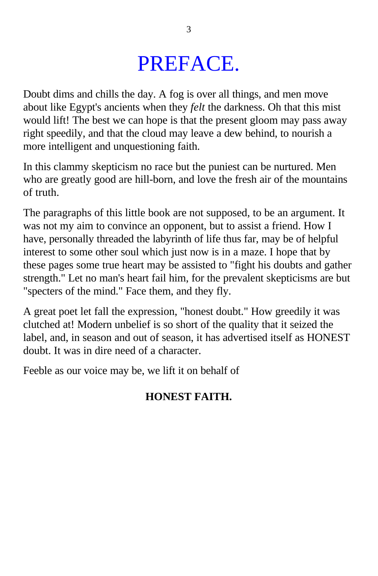## PREFACE.

Doubt dims and chills the day. A fog is over all things, and men move about like Egypt's ancients when they *felt* the darkness. Oh that this mist would lift! The best we can hope is that the present gloom may pass away right speedily, and that the cloud may leave a dew behind, to nourish a more intelligent and unquestioning faith.

In this clammy skepticism no race but the puniest can be nurtured. Men who are greatly good are hill-born, and love the fresh air of the mountains of truth.

The paragraphs of this little book are not supposed, to be an argument. It was not my aim to convince an opponent, but to assist a friend. How I have, personally threaded the labyrinth of life thus far, may be of helpful interest to some other soul which just now is in a maze. I hope that by these pages some true heart may be assisted to "fight his doubts and gather strength." Let no man's heart fail him, for the prevalent skepticisms are but "specters of the mind." Face them, and they fly.

A great poet let fall the expression, "honest doubt." How greedily it was clutched at! Modern unbelief is so short of the quality that it seized the label, and, in season and out of season, it has advertised itself as HONEST doubt. It was in dire need of a character.

Feeble as our voice may be, we lift it on behalf of

## **HONEST FAITH.**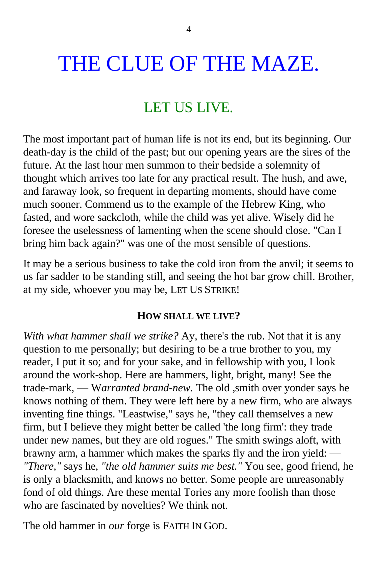# THE CLUE OF THE MAZE.

## LET US LIVE.

The most important part of human life is not its end, but its beginning. Our death-day is the child of the past; but our opening years are the sires of the future. At the last hour men summon to their bedside a solemnity of thought which arrives too late for any practical result. The hush, and awe, and faraway look, so frequent in departing moments, should have come much sooner. Commend us to the example of the Hebrew King, who fasted, and wore sackcloth, while the child was yet alive. Wisely did he foresee the uselessness of lamenting when the scene should close. "Can I bring him back again?" was one of the most sensible of questions.

It may be a serious business to take the cold iron from the anvil; it seems to us far sadder to be standing still, and seeing the hot bar grow chill. Brother, at my side, whoever you may be, LET US STRIKE!

#### **HOW SHALL WE LIVE?**

*With what hammer shall we strike?* Ay, there's the rub. Not that it is any question to me personally; but desiring to be a true brother to you, my reader, I put it so; and for your sake, and in fellowship with you, I look around the work-shop. Here are hammers, light, bright, many! See the trade-mark, — W*arranted brand-new.* The old ,smith over yonder says he knows nothing of them. They were left here by a new firm, who are always inventing fine things. "Leastwise," says he, "they call themselves a new firm, but I believe they might better be called 'the long firm': they trade under new names, but they are old rogues." The smith swings aloft, with brawny arm, a hammer which makes the sparks fly and the iron yield: — *"There,"* says he, *"the old hammer suits me best."* You see, good friend, he is only a blacksmith, and knows no better. Some people are unreasonably fond of old things. Are these mental Tories any more foolish than those who are fascinated by novelties? We think not.

The old hammer in *our* forge is FAITH IN GOD.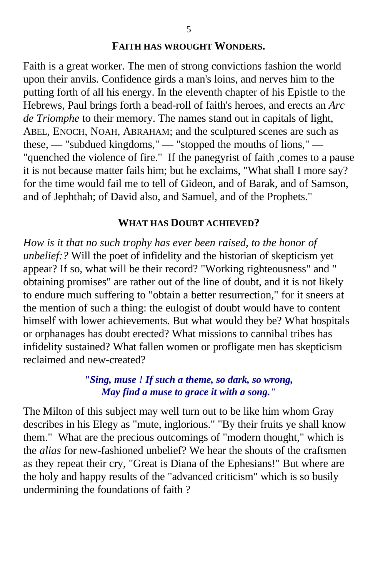#### **FAITH HAS WROUGHT WONDERS.**

Faith is a great worker. The men of strong convictions fashion the world upon their anvils. Confidence girds a man's loins, and nerves him to the putting forth of all his energy. In the eleventh chapter of his Epistle to the Hebrews, Paul brings forth a bead-roll of faith's heroes, and erects an *Arc de Triomphe* to their memory. The names stand out in capitals of light, ABEL, ENOCH, NOAH, ABRAHAM; and the sculptured scenes are such as these, — "subdued kingdoms," — "stopped the mouths of lions," — "quenched the violence of fire." If the panegyrist of faith ,comes to a pause it is not because matter fails him; but he exclaims, "What shall I more say? for the time would fail me to tell of Gideon, and of Barak, and of Samson, and of Jephthah; of David also, and Samuel, and of the Prophets."

#### **WHAT HAS DOUBT ACHIEVED?**

*How is it that no such trophy has ever been raised, to the honor of unbelief:?* Will the poet of infidelity and the historian of skepticism yet appear? If so, what will be their record? "Working righteousness" and " obtaining promises" are rather out of the line of doubt, and it is not likely to endure much suffering to "obtain a better resurrection," for it sneers at the mention of such a thing: the eulogist of doubt would have to content himself with lower achievements. But what would they be? What hospitals or orphanages has doubt erected? What missions to cannibal tribes has infidelity sustained? What fallen women or profligate men has skepticism reclaimed and new-created?

## *"Sing, muse ! If such a theme, so dark, so wrong, May find a muse to grace it with a song."*

The Milton of this subject may well turn out to be like him whom Gray describes in his Elegy as "mute, inglorious." "By their fruits ye shall know them." What are the precious outcomings of "modern thought," which is the *alias* for new-fashioned unbelief? We hear the shouts of the craftsmen as they repeat their cry, "Great is Diana of the Ephesians!" But where are the holy and happy results of the "advanced criticism" which is so busily undermining the foundations of faith ?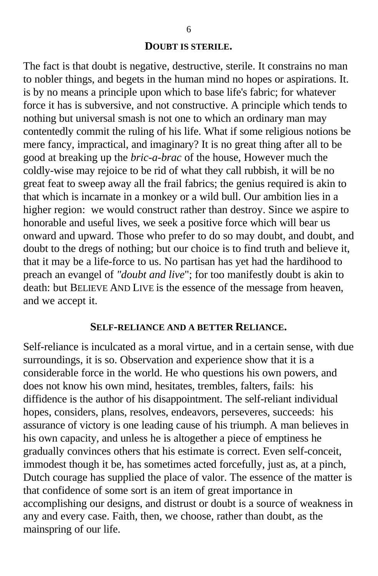#### **DOUBT IS STERILE.**

The fact is that doubt is negative, destructive, sterile. It constrains no man to nobler things, and begets in the human mind no hopes or aspirations. It. is by no means a principle upon which to base life's fabric; for whatever force it has is subversive, and not constructive. A principle which tends to nothing but universal smash is not one to which an ordinary man may contentedly commit the ruling of his life. What if some religious notions be mere fancy, impractical, and imaginary? It is no great thing after all to be good at breaking up the *bric-a-brac* of the house, However much the coldly-wise may rejoice to be rid of what they call rubbish, it will be no great feat to sweep away all the frail fabrics; the genius required is akin to that which is incarnate in a monkey or a wild bull. Our ambition lies in a higher region: we would construct rather than destroy. Since we aspire to honorable and useful lives, we seek a positive force which will bear us onward and upward. Those who prefer to do so may doubt, and doubt, and doubt to the dregs of nothing; but our choice is to find truth and believe it, that it may be a life-force to us. No partisan has yet had the hardihood to preach an evangel of *"doubt and live*"; for too manifestly doubt is akin to death: but BELIEVE AND LIVE is the essence of the message from heaven, and we accept it.

#### **SELF-RELIANCE AND A BETTER RELIANCE.**

Self-reliance is inculcated as a moral virtue, and in a certain sense, with due surroundings, it is so. Observation and experience show that it is a considerable force in the world. He who questions his own powers, and does not know his own mind, hesitates, trembles, falters, fails: his diffidence is the author of his disappointment. The self-reliant individual hopes, considers, plans, resolves, endeavors, perseveres, succeeds: his assurance of victory is one leading cause of his triumph. A man believes in his own capacity, and unless he is altogether a piece of emptiness he gradually convinces others that his estimate is correct. Even self-conceit, immodest though it be, has sometimes acted forcefully, just as, at a pinch, Dutch courage has supplied the place of valor. The essence of the matter is that confidence of some sort is an item of great importance in accomplishing our designs, and distrust or doubt is a source of weakness in any and every case. Faith, then, we choose, rather than doubt, as the mainspring of our life.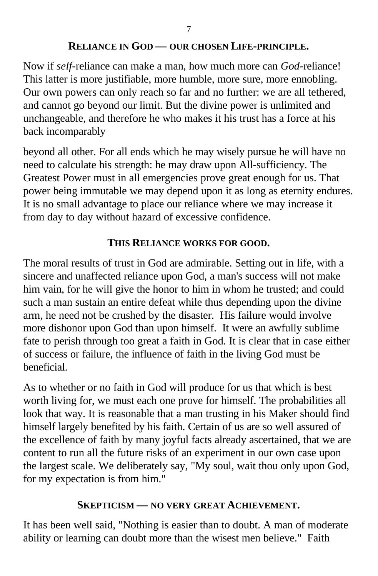## **RELIANCE IN GOD — OUR CHOSEN LIFE-PRINCIPLE.**

Now if *self*-reliance can make a man, how much more can *God-*reliance! This latter is more justifiable, more humble, more sure, more ennobling. Our own powers can only reach so far and no further: we are all tethered, and cannot go beyond our limit. But the divine power is unlimited and unchangeable, and therefore he who makes it his trust has a force at his back incomparably

beyond all other. For all ends which he may wisely pursue he will have no need to calculate his strength: he may draw upon All-sufficiency. The Greatest Power must in all emergencies prove great enough for us. That power being immutable we may depend upon it as long as eternity endures. It is no small advantage to place our reliance where we may increase it from day to day without hazard of excessive confidence.

## **THIS RELIANCE WORKS FOR GOOD.**

The moral results of trust in God are admirable. Setting out in life, with a sincere and unaffected reliance upon God, a man's success will not make him vain, for he will give the honor to him in whom he trusted; and could such a man sustain an entire defeat while thus depending upon the divine arm, he need not be crushed by the disaster. His failure would involve more dishonor upon God than upon himself. It were an awfully sublime fate to perish through too great a faith in God. It is clear that in case either of success or failure, the influence of faith in the living God must be beneficial.

As to whether or no faith in God will produce for us that which is best worth living for, we must each one prove for himself. The probabilities all look that way. It is reasonable that a man trusting in his Maker should find himself largely benefited by his faith. Certain of us are so well assured of the excellence of faith by many joyful facts already ascertained, that we are content to run all the future risks of an experiment in our own case upon the largest scale. We deliberately say, "My soul, wait thou only upon God, for my expectation is from him."

## **SKEPTICISM — NO VERY GREAT ACHIEVEMENT.**

It has been well said, "Nothing is easier than to doubt. A man of moderate ability or learning can doubt more than the wisest men believe." Faith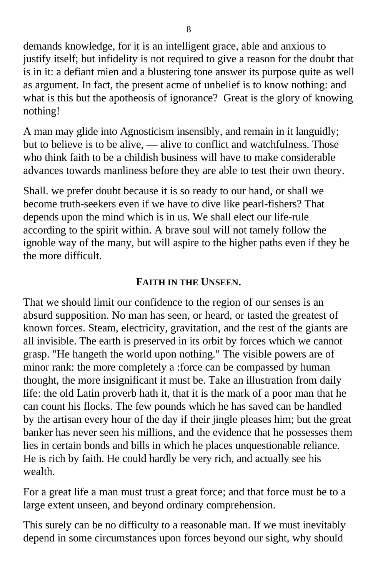demands knowledge, for it is an intelligent grace, able and anxious to justify itself; but infidelity is not required to give a reason for the doubt that is in it: a defiant mien and a blustering tone answer its purpose quite as well as argument. In fact, the present acme of unbelief is to know nothing: and what is this but the apotheosis of ignorance? Great is the glory of knowing nothing!

A man may glide into Agnosticism insensibly, and remain in it languidly; but to believe is to be alive, — alive to conflict and watchfulness. Those who think faith to be a childish business will have to make considerable advances towards manliness before they are able to test their own theory.

Shall. we prefer doubt because it is so ready to our hand, or shall we become truth-seekers even if we have to dive like pearl-fishers? That depends upon the mind which is in us. We shall elect our life-rule according to the spirit within. A brave soul will not tamely follow the ignoble way of the many, but will aspire to the higher paths even if they be the more difficult.

## **FAITH IN THE UNSEEN.**

That we should limit our confidence to the region of our senses is an absurd supposition. No man has seen, or heard, or tasted the greatest of known forces. Steam, electricity, gravitation, and the rest of the giants are all invisible. The earth is preserved in its orbit by forces which we cannot grasp. "He hangeth the world upon nothing." The visible powers are of minor rank: the more completely a :force can be compassed by human thought, the more insignificant it must be. Take an illustration from daily life: the old Latin proverb hath it, that it is the mark of a poor man that he can count his flocks. The few pounds which he has saved can be handled by the artisan every hour of the day if their jingle pleases him; but the great banker has never seen his millions, and the evidence that he possesses them lies in certain bonds and bills in which he places unquestionable reliance. He is rich by faith. He could hardly be very rich, and actually see his wealth.

For a great life a man must trust a great force; and that force must be to a large extent unseen, and beyond ordinary comprehension.

This surely can be no difficulty to a reasonable man. If we must inevitably depend in some circumstances upon forces beyond our sight, why should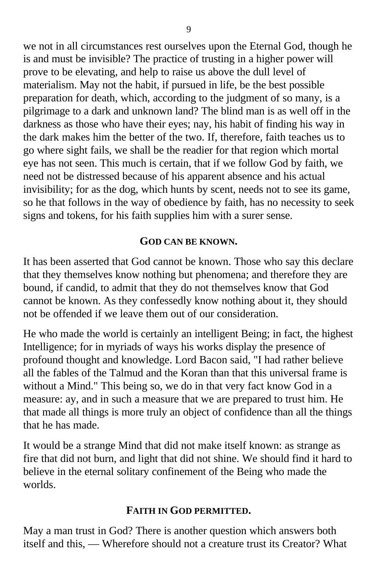we not in all circumstances rest ourselves upon the Eternal God, though he is and must be invisible? The practice of trusting in a higher power will prove to be elevating, and help to raise us above the dull level of materialism. May not the habit, if pursued in life, be the best possible preparation for death, which, according to the judgment of so many, is a pilgrimage to a dark and unknown land? The blind man is as well off in the darkness as those who have their eyes; nay, his habit of finding his way in the dark makes him the better of the two. If, therefore, faith teaches us to go where sight fails, we shall be the readier for that region which mortal eye has not seen. This much is certain, that if we follow God by faith, we need not be distressed because of his apparent absence and his actual invisibility; for as the dog, which hunts by scent, needs not to see its game, so he that follows in the way of obedience by faith, has no necessity to seek signs and tokens, for his faith supplies him with a surer sense.

## **GOD CAN BE KNOWN.**

It has been asserted that God cannot be known. Those who say this declare that they themselves know nothing but phenomena; and therefore they are bound, if candid, to admit that they do not themselves know that God cannot be known. As they confessedly know nothing about it, they should not be offended if we leave them out of our consideration.

He who made the world is certainly an intelligent Being; in fact, the highest Intelligence; for in myriads of ways his works display the presence of profound thought and knowledge. Lord Bacon said, "I had rather believe all the fables of the Talmud and the Koran than that this universal frame is without a Mind." This being so, we do in that very fact know God in a measure: ay, and in such a measure that we are prepared to trust him. He that made all things is more truly an object of confidence than all the things that he has made.

It would be a strange Mind that did not make itself known: as strange as fire that did not burn, and light that did not shine. We should find it hard to believe in the eternal solitary confinement of the Being who made the worlds.

## **FAITH IN GOD PERMITTED.**

May a man trust in God? There is another question which answers both itself and this, — Wherefore should not a creature trust its Creator? What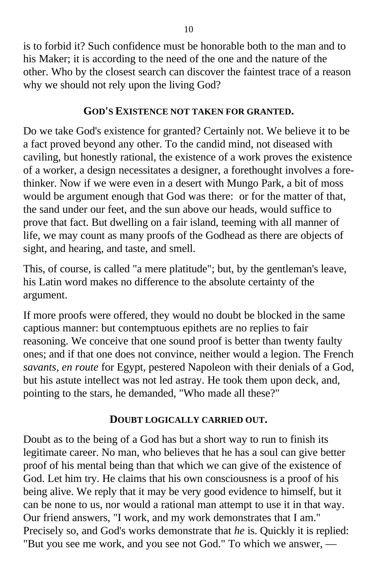is to forbid it? Such confidence must be honorable both to the man and to his Maker; it is according to the need of the one and the nature of the other. Who by the closest search can discover the faintest trace of a reason why we should not rely upon the living God?

## **GOD'S EXISTENCE NOT TAKEN FOR GRANTED.**

Do we take God's existence for granted? Certainly not. We believe it to be a fact proved beyond any other. To the candid mind, not diseased with caviling, but honestly rational, the existence of a work proves the existence of a worker, a design necessitates a designer, a forethought involves a forethinker. Now if we were even in a desert with Mungo Park, a bit of moss would be argument enough that God was there: or for the matter of that, the sand under our feet, and the sun above our heads, would suffice to prove that fact. But dwelling on a fair island, teeming with all manner of life, we may count as many proofs of the Godhead as there are objects of sight, and hearing, and taste, and smell.

This, of course, is called "a mere platitude"; but, by the gentleman's leave, his Latin word makes no difference to the absolute certainty of the argument.

If more proofs were offered, they would no doubt be blocked in the same captious manner: but contemptuous epithets are no replies to fair reasoning. We conceive that one sound proof is better than twenty faulty ones; and if that one does not convince, neither would a legion. The French *savants, en route* for Egypt, pestered Napoleon with their denials of a God, but his astute intellect was not led astray. He took them upon deck, and, pointing to the stars, he demanded, "Who made all these?"

## **DOUBT LOGICALLY CARRIED OUT.**

Doubt as to the being of a God has but a short way to run to finish its legitimate career. No man, who believes that he has a soul can give better proof of his mental being than that which we can give of the existence of God. Let him try. He claims that his own consciousness is a proof of his being alive. We reply that it may be very good evidence to himself, but it can be none to us, nor would a rational man attempt to use it in that way. Our friend answers, "I work, and my work demonstrates that I am." Precisely so, and God's works demonstrate that *he* is. Quickly it is replied: "But you see me work, and you see not God." To which we answer, —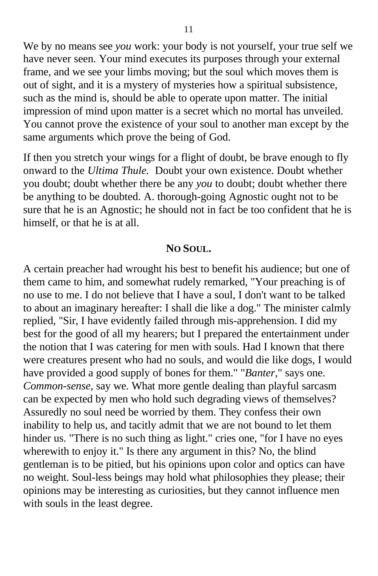We by no means see *you* work: your body is not yourself, your true self we have never seen. Your mind executes its purposes through your external frame, and we see your limbs moving; but the soul which moves them is out of sight, and it is a mystery of mysteries how a spiritual subsistence, such as the mind is, should be able to operate upon matter. The initial impression of mind upon matter is a secret which no mortal has unveiled. You cannot prove the existence of your soul to another man except by the same arguments which prove the being of God.

If then you stretch your wings for a flight of doubt, be brave enough to fly onward to the *Ultima Thule.* Doubt your own existence. Doubt whether you doubt; doubt whether there be any *you* to doubt; doubt whether there be anything to be doubted. A. thorough-going Agnostic ought not to be sure that he is an Agnostic; he should not in fact be too confident that he is himself, or that he is at all.

#### **NO SOUL.**

A certain preacher had wrought his best to benefit his audience; but one of them came to him, and somewhat rudely remarked, "Your preaching is of no use to me. I do not believe that I have a soul, I don't want to be talked to about an imaginary hereafter: I shall die like a dog." The minister calmly replied, "Sir, I have evidently failed through mis-apprehension. I did my best for the good of all my hearers; but I prepared the entertainment under the notion that I was catering for men with souls. Had I known that there were creatures present who had no souls, and would die like dogs, I would have provided a good supply of bones for them." "*Banter*," says one. *Common-sense,* say we. What more gentle dealing than playful sarcasm can be expected by men who hold such degrading views of themselves? Assuredly no soul need be worried by them. They confess their own inability to help us, and tacitly admit that we are not bound to let them hinder us. "There is no such thing as light." cries one, "for I have no eyes wherewith to enjoy it." Is there any argument in this? No, the blind gentleman is to be pitied, but his opinions upon color and optics can have no weight. Soul-less beings may hold what philosophies they please; their opinions may be interesting as curiosities, but they cannot influence men with souls in the least degree.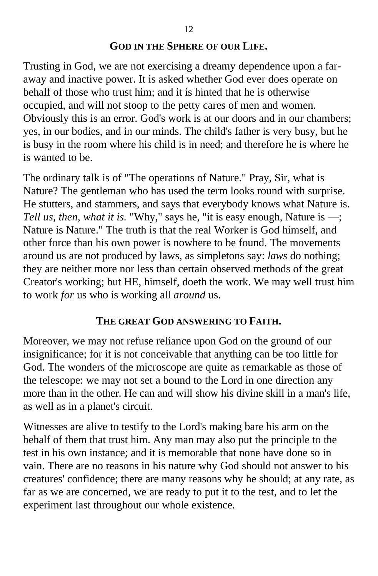## **GOD IN THE SPHERE OF OUR LIFE.**

Trusting in God, we are not exercising a dreamy dependence upon a faraway and inactive power. It is asked whether God ever does operate on behalf of those who trust him; and it is hinted that he is otherwise occupied, and will not stoop to the petty cares of men and women. Obviously this is an error. God's work is at our doors and in our chambers; yes, in our bodies, and in our minds. The child's father is very busy, but he is busy in the room where his child is in need; and therefore he is where he is wanted to be.

The ordinary talk is of "The operations of Nature." Pray, Sir, what is Nature? The gentleman who has used the term looks round with surprise. He stutters, and stammers, and says that everybody knows what Nature is. *Tell us, then, what it is.* "Why," says he, "it is easy enough, Nature is —; Nature is Nature." The truth is that the real Worker is God himself, and other force than his own power is nowhere to be found. The movements around us are not produced by laws, as simpletons say: *laws* do nothing; they are neither more nor less than certain observed methods of the great Creator's working; but HE, himself, doeth the work. We may well trust him to work *for* us who is working all *around* us.

## **THE GREAT GOD ANSWERING TO FAITH.**

Moreover, we may not refuse reliance upon God on the ground of our insignificance; for it is not conceivable that anything can be too little for God. The wonders of the microscope are quite as remarkable as those of the telescope: we may not set a bound to the Lord in one direction any more than in the other. He can and will show his divine skill in a man's life, as well as in a planet's circuit.

Witnesses are alive to testify to the Lord's making bare his arm on the behalf of them that trust him. Any man may also put the principle to the test in his own instance; and it is memorable that none have done so in vain. There are no reasons in his nature why God should not answer to his creatures' confidence; there are many reasons why he should; at any rate, as far as we are concerned, we are ready to put it to the test, and to let the experiment last throughout our whole existence.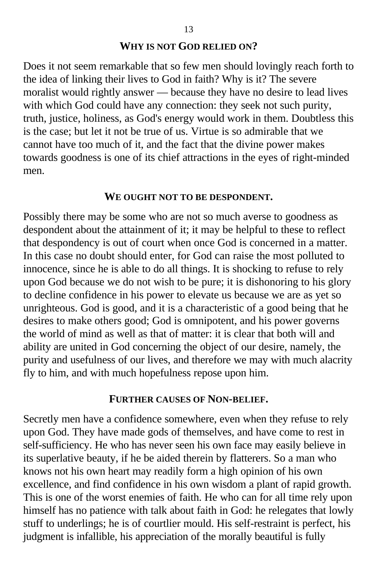#### **WHY IS NOT GOD RELIED ON?**

Does it not seem remarkable that so few men should lovingly reach forth to the idea of linking their lives to God in faith? Why is it? The severe moralist would rightly answer — because they have no desire to lead lives with which God could have any connection: they seek not such purity, truth, justice, holiness, as God's energy would work in them. Doubtless this is the case; but let it not be true of us. Virtue is so admirable that we cannot have too much of it, and the fact that the divine power makes towards goodness is one of its chief attractions in the eyes of right-minded men.

#### **WE OUGHT NOT TO BE DESPONDENT.**

Possibly there may be some who are not so much averse to goodness as despondent about the attainment of it; it may be helpful to these to reflect that despondency is out of court when once God is concerned in a matter. In this case no doubt should enter, for God can raise the most polluted to innocence, since he is able to do all things. It is shocking to refuse to rely upon God because we do not wish to be pure; it is dishonoring to his glory to decline confidence in his power to elevate us because we are as yet so unrighteous. God is good, and it is a characteristic of a good being that he desires to make others good; God is omnipotent, and his power governs the world of mind as well as that of matter: it is clear that both will and ability are united in God concerning the object of our desire, namely, the purity and usefulness of our lives, and therefore we may with much alacrity fly to him, and with much hopefulness repose upon him.

#### **FURTHER CAUSES OF NON-BELIEF.**

Secretly men have a confidence somewhere, even when they refuse to rely upon God. They have made gods of themselves, and have come to rest in self-sufficiency. He who has never seen his own face may easily believe in its superlative beauty, if he be aided therein by flatterers. So a man who knows not his own heart may readily form a high opinion of his own excellence, and find confidence in his own wisdom a plant of rapid growth. This is one of the worst enemies of faith. He who can for all time rely upon himself has no patience with talk about faith in God: he relegates that lowly stuff to underlings; he is of courtlier mould. His self-restraint is perfect, his judgment is infallible, his appreciation of the morally beautiful is fully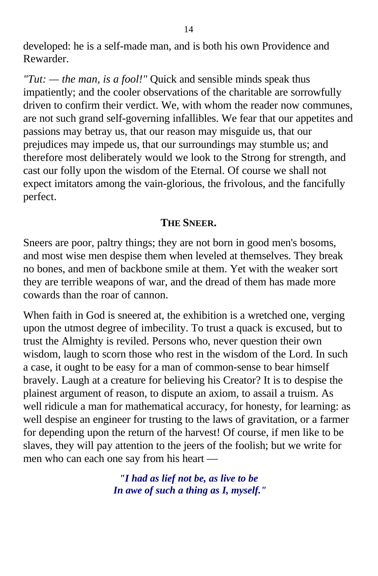developed: he is a self-made man, and is both his own Providence and Rewarder.

*"Tut: — the man, is a fool!"* Quick and sensible minds speak thus impatiently; and the cooler observations of the charitable are sorrowfully driven to confirm their verdict. We, with whom the reader now communes, are not such grand self-governing infallibles. We fear that our appetites and passions may betray us, that our reason may misguide us, that our prejudices may impede us, that our surroundings may stumble us; and therefore most deliberately would we look to the Strong for strength, and cast our folly upon the wisdom of the Eternal. Of course we shall not expect imitators among the vain-glorious, the frivolous, and the fancifully perfect.

## **THE SNEER.**

Sneers are poor, paltry things; they are not born in good men's bosoms, and most wise men despise them when leveled at themselves. They break no bones, and men of backbone smile at them. Yet with the weaker sort they are terrible weapons of war, and the dread of them has made more cowards than the roar of cannon.

When faith in God is sneered at, the exhibition is a wretched one, verging upon the utmost degree of imbecility. To trust a quack is excused, but to trust the Almighty is reviled. Persons who, never question their own wisdom, laugh to scorn those who rest in the wisdom of the Lord. In such a case, it ought to be easy for a man of common-sense to bear himself bravely. Laugh at a creature for believing his Creator? It is to despise the plainest argument of reason, to dispute an axiom, to assail a truism. As well ridicule a man for mathematical accuracy, for honesty, for learning: as well despise an engineer for trusting to the laws of gravitation, or a farmer for depending upon the return of the harvest! Of course, if men like to be slaves, they will pay attention to the jeers of the foolish; but we write for men who can each one say from his heart —

> *"I had as lief not be, as live to be In awe of such a thing as I, myself."*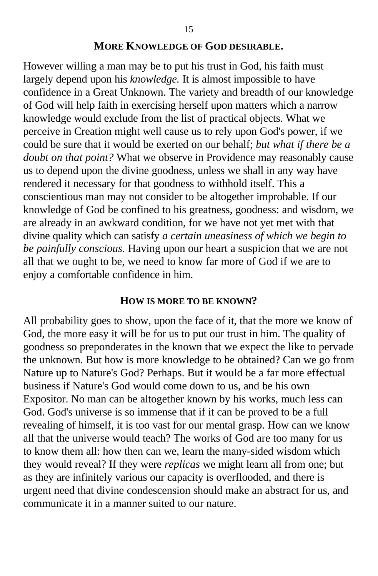#### **MORE KNOWLEDGE OF GOD DESIRABLE.**

However willing a man may be to put his trust in God, his faith must largely depend upon his *knowledge.* It is almost impossible to have confidence in a Great Unknown. The variety and breadth of our knowledge of God will help faith in exercising herself upon matters which a narrow knowledge would exclude from the list of practical objects. What we perceive in Creation might well cause us to rely upon God's power, if we could be sure that it would be exerted on our behalf; *but what if there be a doubt on that point?* What we observe in Providence may reasonably cause us to depend upon the divine goodness, unless we shall in any way have rendered it necessary for that goodness to withhold itself. This a conscientious man may not consider to be altogether improbable. If our knowledge of God be confined to his greatness, goodness: and wisdom, we are already in an awkward condition, for we have not yet met with that divine quality which can satisfy *a certain uneasiness of which we begin to be painfully conscious.* Having upon our heart a suspicion that we are not all that we ought to be, we need to know far more of God if we are to enjoy a comfortable confidence in him.

#### **HOW IS MORE TO BE KNOWN?**

All probability goes to show, upon the face of it, that the more we know of God, the more easy it will be for us to put our trust in him. The quality of goodness so preponderates in the known that we expect the like to pervade the unknown. But how is more knowledge to be obtained? Can we go from Nature up to Nature's God? Perhaps. But it would be a far more effectual business if Nature's God would come down to us, and be his own Expositor. No man can be altogether known by his works, much less can God. God's universe is so immense that if it can be proved to be a full revealing of himself, it is too vast for our mental grasp. How can we know all that the universe would teach? The works of God are too many for us to know them all: how then can we, learn the many-sided wisdom which they would reveal? If they were *replicas* we might learn all from one; but as they are infinitely various our capacity is overflooded, and there is urgent need that divine condescension should make an abstract for us, and communicate it in a manner suited to our nature.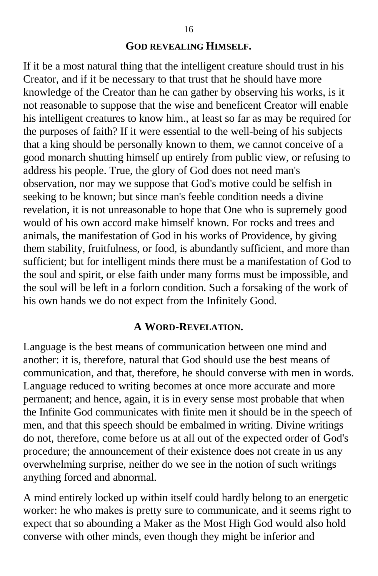#### **GOD REVEALING HIMSELF.**

If it be a most natural thing that the intelligent creature should trust in his Creator, and if it be necessary to that trust that he should have more knowledge of the Creator than he can gather by observing his works, is it not reasonable to suppose that the wise and beneficent Creator will enable his intelligent creatures to know him., at least so far as may be required for the purposes of faith? If it were essential to the well-being of his subjects that a king should be personally known to them, we cannot conceive of a good monarch shutting himself up entirely from public view, or refusing to address his people. True, the glory of God does not need man's observation, nor may we suppose that God's motive could be selfish in seeking to be known; but since man's feeble condition needs a divine revelation, it is not unreasonable to hope that One who is supremely good would of his own accord make himself known. For rocks and trees and animals, the manifestation of God in his works of Providence, by giving them stability, fruitfulness, or food, is abundantly sufficient, and more than sufficient; but for intelligent minds there must be a manifestation of God to the soul and spirit, or else faith under many forms must be impossible, and the soul will be left in a forlorn condition. Such a forsaking of the work of his own hands we do not expect from the Infinitely Good.

#### **A WORD-REVELATION.**

Language is the best means of communication between one mind and another: it is, therefore, natural that God should use the best means of communication, and that, therefore, he should converse with men in words. Language reduced to writing becomes at once more accurate and more permanent; and hence, again, it is in every sense most probable that when the Infinite God communicates with finite men it should be in the speech of men, and that this speech should be embalmed in writing. Divine writings do not, therefore, come before us at all out of the expected order of God's procedure; the announcement of their existence does not create in us any overwhelming surprise, neither do we see in the notion of such writings anything forced and abnormal.

A mind entirely locked up within itself could hardly belong to an energetic worker: he who makes is pretty sure to communicate, and it seems right to expect that so abounding a Maker as the Most High God would also hold converse with other minds, even though they might be inferior and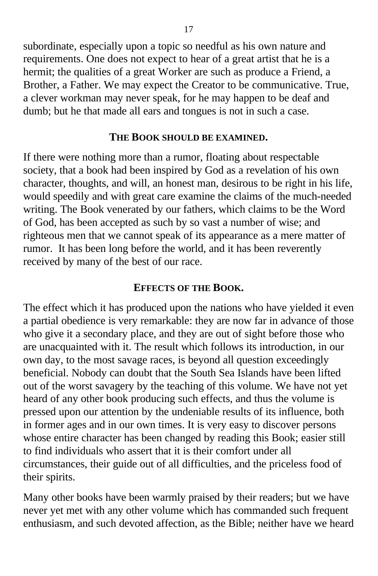subordinate, especially upon a topic so needful as his own nature and requirements. One does not expect to hear of a great artist that he is a hermit; the qualities of a great Worker are such as produce a Friend, a Brother, a Father. We may expect the Creator to be communicative. True, a clever workman may never speak, for he may happen to be deaf and dumb; but he that made all ears and tongues is not in such a case.

## **THE BOOK SHOULD BE EXAMINED.**

If there were nothing more than a rumor, floating about respectable society, that a book had been inspired by God as a revelation of his own character, thoughts, and will, an honest man, desirous to be right in his life, would speedily and with great care examine the claims of the much-needed writing. The Book venerated by our fathers, which claims to be the Word of God, has been accepted as such by so vast a number of wise; and righteous men that we cannot speak of its appearance as a mere matter of rumor. It has been long before the world, and it has been reverently received by many of the best of our race.

## **EFFECTS OF THE BOOK.**

The effect which it has produced upon the nations who have yielded it even a partial obedience is very remarkable: they are now far in advance of those who give it a secondary place, and they are out of sight before those who are unacquainted with it. The result which follows its introduction, in our own day, to the most savage races, is beyond all question exceedingly beneficial. Nobody can doubt that the South Sea Islands have been lifted out of the worst savagery by the teaching of this volume. We have not yet heard of any other book producing such effects, and thus the volume is pressed upon our attention by the undeniable results of its influence, both in former ages and in our own times. It is very easy to discover persons whose entire character has been changed by reading this Book; easier still to find individuals who assert that it is their comfort under all circumstances, their guide out of all difficulties, and the priceless food of their spirits.

Many other books have been warmly praised by their readers; but we have never yet met with any other volume which has commanded such frequent enthusiasm, and such devoted affection, as the Bible; neither have we heard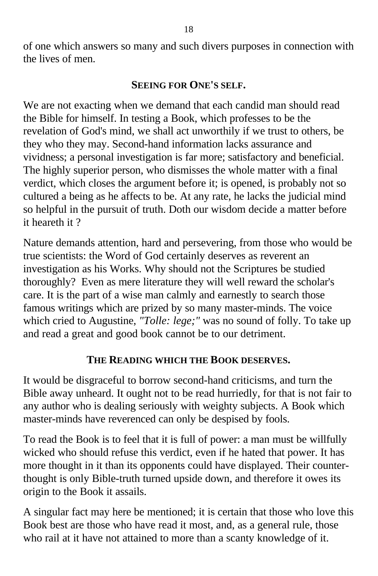of one which answers so many and such divers purposes in connection with the lives of men.

## **SEEING FOR ONE'S SELF.**

We are not exacting when we demand that each candid man should read the Bible for himself. In testing a Book, which professes to be the revelation of God's mind, we shall act unworthily if we trust to others, be they who they may. Second-hand information lacks assurance and vividness; a personal investigation is far more; satisfactory and beneficial. The highly superior person, who dismisses the whole matter with a final verdict, which closes the argument before it; is opened, is probably not so cultured a being as he affects to be. At any rate, he lacks the judicial mind so helpful in the pursuit of truth. Doth our wisdom decide a matter before it heareth it ?

Nature demands attention, hard and persevering, from those who would be true scientists: the Word of God certainly deserves as reverent an investigation as his Works. Why should not the Scriptures be studied thoroughly? Even as mere literature they will well reward the scholar's care. It is the part of a wise man calmly and earnestly to search those famous writings which are prized by so many master-minds. The voice which cried to Augustine, *"Tolle: lege;"* was no sound of folly. To take up and read a great and good book cannot be to our detriment.

## **THE READING WHICH THE BOOK DESERVES.**

It would be disgraceful to borrow second-hand criticisms, and turn the Bible away unheard. It ought not to be read hurriedly, for that is not fair to any author who is dealing seriously with weighty subjects. A Book which master-minds have reverenced can only be despised by fools.

To read the Book is to feel that it is full of power: a man must be willfully wicked who should refuse this verdict, even if he hated that power. It has more thought in it than its opponents could have displayed. Their counterthought is only Bible-truth turned upside down, and therefore it owes its origin to the Book it assails.

A singular fact may here be mentioned; it is certain that those who love this Book best are those who have read it most, and, as a general rule, those who rail at it have not attained to more than a scanty knowledge of it.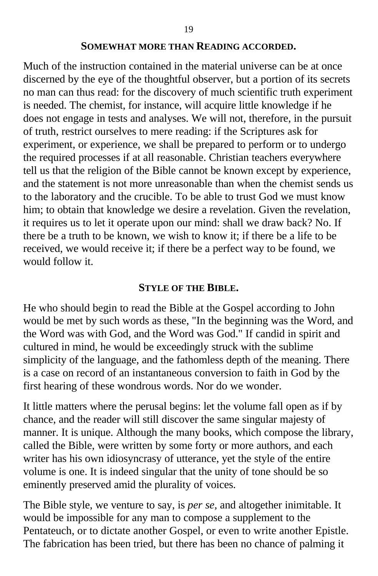#### **SOMEWHAT MORE THAN READING ACCORDED.**

Much of the instruction contained in the material universe can be at once discerned by the eye of the thoughtful observer, but a portion of its secrets no man can thus read: for the discovery of much scientific truth experiment is needed. The chemist, for instance, will acquire little knowledge if he does not engage in tests and analyses. We will not, therefore, in the pursuit of truth, restrict ourselves to mere reading: if the Scriptures ask for experiment, or experience, we shall be prepared to perform or to undergo the required processes if at all reasonable. Christian teachers everywhere tell us that the religion of the Bible cannot be known except by experience, and the statement is not more unreasonable than when the chemist sends us to the laboratory and the crucible. To be able to trust God we must know him; to obtain that knowledge we desire a revelation. Given the revelation, it requires us to let it operate upon our mind: shall we draw back? No. If there be a truth to be known, we wish to know it; if there be a life to be received, we would receive it; if there be a perfect way to be found, we would follow it.

#### **STYLE OF THE BIBLE.**

He who should begin to read the Bible at the Gospel according to John would be met by such words as these, "In the beginning was the Word, and the Word was with God, and the Word was God." If candid in spirit and cultured in mind, he would be exceedingly struck with the sublime simplicity of the language, and the fathomless depth of the meaning. There is a case on record of an instantaneous conversion to faith in God by the first hearing of these wondrous words. Nor do we wonder.

It little matters where the perusal begins: let the volume fall open as if by chance, and the reader will still discover the same singular majesty of manner. It is unique. Although the many books, which compose the library, called the Bible, were written by some forty or more authors, and each writer has his own idiosyncrasy of utterance, yet the style of the entire volume is one. It is indeed singular that the unity of tone should be so eminently preserved amid the plurality of voices.

The Bible style, we venture to say, is *per se,* and altogether inimitable. It would be impossible for any man to compose a supplement to the Pentateuch, or to dictate another Gospel, or even to write another Epistle. The fabrication has been tried, but there has been no chance of palming it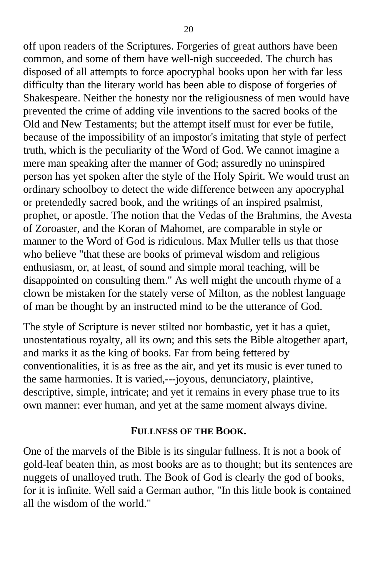off upon readers of the Scriptures. Forgeries of great authors have been common, and some of them have well-nigh succeeded. The church has disposed of all attempts to force apocryphal books upon her with far less difficulty than the literary world has been able to dispose of forgeries of Shakespeare. Neither the honesty nor the religiousness of men would have prevented the crime of adding vile inventions to the sacred books of the Old and New Testaments; but the attempt itself must for ever be futile, because of the impossibility of an impostor's imitating that style of perfect truth, which is the peculiarity of the Word of God. We cannot imagine a mere man speaking after the manner of God; assuredly no uninspired person has yet spoken after the style of the Holy Spirit. We would trust an ordinary schoolboy to detect the wide difference between any apocryphal or pretendedly sacred book, and the writings of an inspired psalmist, prophet, or apostle. The notion that the Vedas of the Brahmins, the Avesta of Zoroaster, and the Koran of Mahomet, are comparable in style or manner to the Word of God is ridiculous. Max Muller tells us that those who believe "that these are books of primeval wisdom and religious enthusiasm, or, at least, of sound and simple moral teaching, will be disappointed on consulting them." As well might the uncouth rhyme of a clown be mistaken for the stately verse of Milton, as the noblest language of man be thought by an instructed mind to be the utterance of God.

The style of Scripture is never stilted nor bombastic, yet it has a quiet, unostentatious royalty, all its own; and this sets the Bible altogether apart, and marks it as the king of books. Far from being fettered by conventionalities, it is as free as the air, and yet its music is ever tuned to the same harmonies. It is varied,---joyous, denunciatory, plaintive, descriptive, simple, intricate; and yet it remains in every phase true to its own manner: ever human, and yet at the same moment always divine.

#### **FULLNESS OF THE BOOK.**

One of the marvels of the Bible is its singular fullness. It is not a book of gold-leaf beaten thin, as most books are as to thought; but its sentences are nuggets of unalloyed truth. The Book of God is clearly the god of books, for it is infinite. Well said a German author, "In this little book is contained all the wisdom of the world."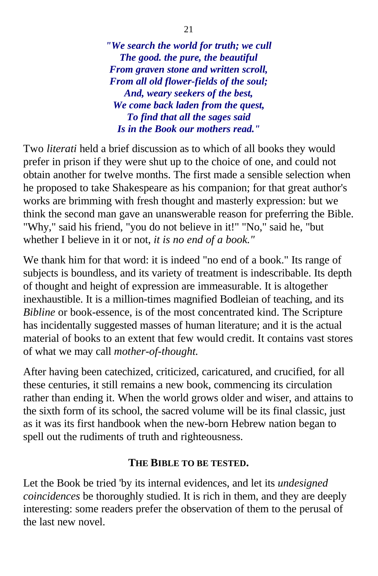*"We search the world for truth; we cull The good. the pure, the beautiful From graven stone and written scroll, From all old flower-fields of the soul; And, weary seekers of the best, We come back laden from the quest, To find that all the sages said Is in the Book our mothers read."*

Two *literati* held a brief discussion as to which of all books they would prefer in prison if they were shut up to the choice of one, and could not obtain another for twelve months. The first made a sensible selection when he proposed to take Shakespeare as his companion; for that great author's works are brimming with fresh thought and masterly expression: but we think the second man gave an unanswerable reason for preferring the Bible. "Why," said his friend, "you do not believe in it!" "No," said he, "but whether I believe in it or not, *it is no end of a book."*

We thank him for that word: it is indeed "no end of a book." Its range of subjects is boundless, and its variety of treatment is indescribable. Its depth of thought and height of expression are immeasurable. It is altogether inexhaustible. It is a million-times magnified Bodleian of teaching, and its *Bibline* or book-essence, is of the most concentrated kind. The Scripture has incidentally suggested masses of human literature; and it is the actual material of books to an extent that few would credit. It contains vast stores of what we may call *mother-of-thought.*

After having been catechized, criticized, caricatured, and crucified, for all these centuries, it still remains a new book, commencing its circulation rather than ending it. When the world grows older and wiser, and attains to the sixth form of its school, the sacred volume will be its final classic, just as it was its first handbook when the new-born Hebrew nation began to spell out the rudiments of truth and righteousness.

## **THE BIBLE TO BE TESTED.**

Let the Book be tried 'by its internal evidences, and let its *undesigned coincidences* be thoroughly studied. It is rich in them, and they are deeply interesting: some readers prefer the observation of them to the perusal of the last new novel.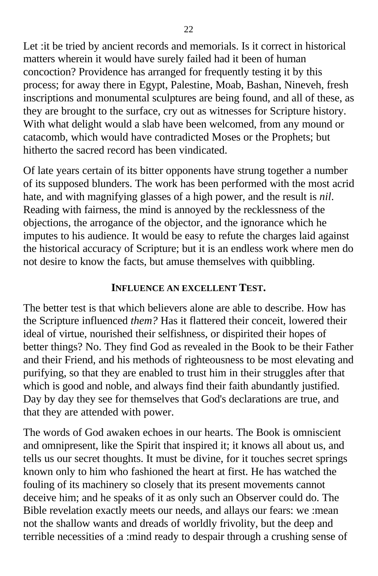Let :it be tried by ancient records and memorials. Is it correct in historical matters wherein it would have surely failed had it been of human concoction? Providence has arranged for frequently testing it by this process; for away there in Egypt, Palestine, Moab, Bashan, Nineveh, fresh inscriptions and monumental sculptures are being found, and all of these, as they are brought to the surface, cry out as witnesses for Scripture history. With what delight would a slab have been welcomed, from any mound or catacomb, which would have contradicted Moses or the Prophets; but hitherto the sacred record has been vindicated.

Of late years certain of its bitter opponents have strung together a number of its supposed blunders. The work has been performed with the most acrid hate, and with magnifying glasses of a high power, and the result is *nil*. Reading with fairness, the mind is annoyed by the recklessness of the objections, the arrogance of the objector, and the ignorance which he imputes to his audience. It would be easy to refute the charges laid against the historical accuracy of Scripture; but it is an endless work where men do not desire to know the facts, but amuse themselves with quibbling.

### **INFLUENCE AN EXCELLENT TEST.**

The better test is that which believers alone are able to describe. How has the Scripture influenced *them?* Has it flattered their conceit, lowered their ideal of virtue, nourished their selfishness, or dispirited their hopes of better things? No. They find God as revealed in the Book to be their Father and their Friend, and his methods of righteousness to be most elevating and purifying, so that they are enabled to trust him in their struggles after that which is good and noble, and always find their faith abundantly justified. Day by day they see for themselves that God's declarations are true, and that they are attended with power.

The words of God awaken echoes in our hearts. The Book is omniscient and omnipresent, like the Spirit that inspired it; it knows all about us, and tells us our secret thoughts. It must be divine, for it touches secret springs known only to him who fashioned the heart at first. He has watched the fouling of its machinery so closely that its present movements cannot deceive him; and he speaks of it as only such an Observer could do. The Bible revelation exactly meets our needs, and allays our fears: we :mean not the shallow wants and dreads of worldly frivolity, but the deep and terrible necessities of a :mind ready to despair through a crushing sense of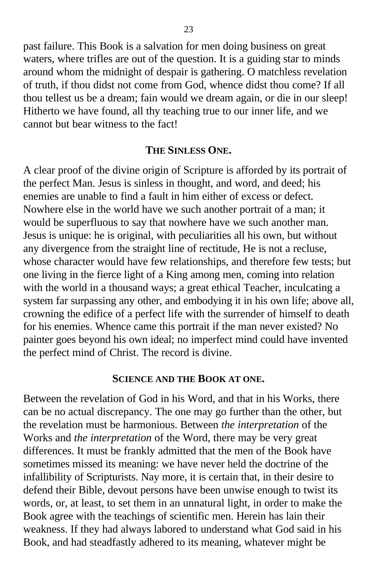past failure. This Book is a salvation for men doing business on great waters, where trifles are out of the question. It is a guiding star to minds around whom the midnight of despair is gathering. O matchless revelation of truth, if thou didst not come from God, whence didst thou come? If all thou tellest us be a dream; fain would we dream again, or die in our sleep! Hitherto we have found, all thy teaching true to our inner life, and we cannot but bear witness to the fact!

#### **THE SINLESS ONE.**

A clear proof of the divine origin of Scripture is afforded by its portrait of the perfect Man. Jesus is sinless in thought, and word, and deed; his enemies are unable to find a fault in him either of excess or defect. Nowhere else in the world have we such another portrait of a man; it would be superfluous to say that nowhere have we such another man. Jesus is unique: he is original, with peculiarities all his own, but without any divergence from the straight line of rectitude, He is not a recluse, whose character would have few relationships, and therefore few tests; but one living in the fierce light of a King among men, coming into relation with the world in a thousand ways; a great ethical Teacher, inculcating a system far surpassing any other, and embodying it in his own life; above all, crowning the edifice of a perfect life with the surrender of himself to death for his enemies. Whence came this portrait if the man never existed? No painter goes beyond his own ideal; no imperfect mind could have invented the perfect mind of Christ. The record is divine.

#### **SCIENCE AND THE BOOK AT ONE.**

Between the revelation of God in his Word, and that in his Works, there can be no actual discrepancy. The one may go further than the other, but the revelation must be harmonious. Between *the interpretation* of the Works and *the interpretation* of the Word, there may be very great differences. It must be frankly admitted that the men of the Book have sometimes missed its meaning: we have never held the doctrine of the infallibility of Scripturists. Nay more, it is certain that, in their desire to defend their Bible, devout persons have been unwise enough to twist its words, or, at least, to set them in an unnatural light, in order to make the Book agree with the teachings of scientific men. Herein has lain their weakness. If they had always labored to understand what God said in his Book, and had steadfastly adhered to its meaning, whatever might be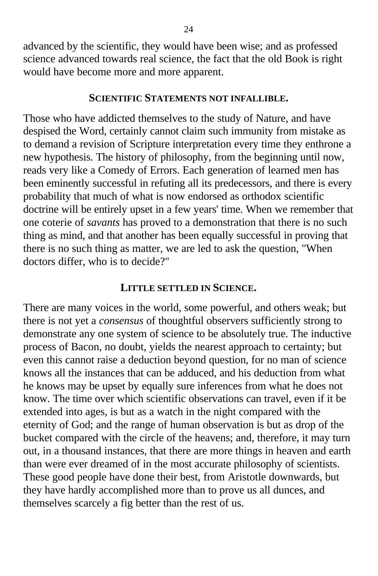advanced by the scientific, they would have been wise; and as professed science advanced towards real science, the fact that the old Book is right would have become more and more apparent.

#### **SCIENTIFIC STATEMENTS NOT INFALLIBLE.**

Those who have addicted themselves to the study of Nature, and have despised the Word, certainly cannot claim such immunity from mistake as to demand a revision of Scripture interpretation every time they enthrone a new hypothesis. The history of philosophy, from the beginning until now, reads very like a Comedy of Errors. Each generation of learned men has been eminently successful in refuting all its predecessors, and there is every probability that much of what is now endorsed as orthodox scientific doctrine will be entirely upset in a few years' time. When we remember that one coterie of *savants* has proved to a demonstration that there is no such thing as mind, and that another has been equally successful in proving that there is no such thing as matter, we are led to ask the question, "When doctors differ, who is to decide?"

#### **LITTLE SETTLED IN SCIENCE.**

There are many voices in the world, some powerful, and others weak; but there is not yet a *consensus* of thoughtful observers sufficiently strong to demonstrate any one system of science to be absolutely true. The inductive process of Bacon, no doubt, yields the nearest approach to certainty; but even this cannot raise a deduction beyond question, for no man of science knows all the instances that can be adduced, and his deduction from what he knows may be upset by equally sure inferences from what he does not know. The time over which scientific observations can travel, even if it be extended into ages, is but as a watch in the night compared with the eternity of God; and the range of human observation is but as drop of the bucket compared with the circle of the heavens; and, therefore, it may turn out, in a thousand instances, that there are more things in heaven and earth than were ever dreamed of in the most accurate philosophy of scientists. These good people have done their best, from Aristotle downwards, but they have hardly accomplished more than to prove us all dunces, and themselves scarcely a fig better than the rest of us.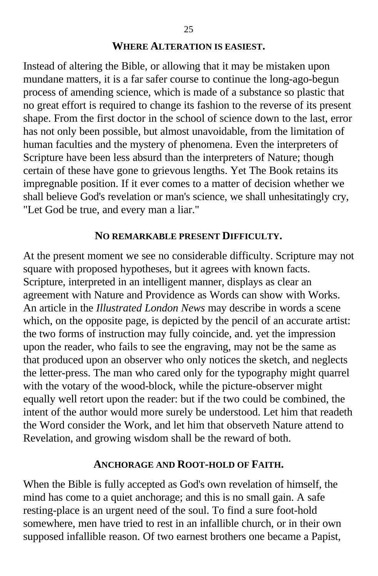#### **WHERE ALTERATION IS EASIEST.**

Instead of altering the Bible, or allowing that it may be mistaken upon mundane matters, it is a far safer course to continue the long-ago-begun process of amending science, which is made of a substance so plastic that no great effort is required to change its fashion to the reverse of its present shape. From the first doctor in the school of science down to the last, error has not only been possible, but almost unavoidable, from the limitation of human faculties and the mystery of phenomena. Even the interpreters of Scripture have been less absurd than the interpreters of Nature; though certain of these have gone to grievous lengths. Yet The Book retains its impregnable position. If it ever comes to a matter of decision whether we shall believe God's revelation or man's science, we shall unhesitatingly cry, "Let God be true, and every man a liar."

#### **NO REMARKABLE PRESENT DIFFICULTY.**

At the present moment we see no considerable difficulty. Scripture may not square with proposed hypotheses, but it agrees with known facts. Scripture, interpreted in an intelligent manner, displays as clear an agreement with Nature and Providence as Words can show with Works. An article in the *Illustrated London News* may describe in words a scene which, on the opposite page, is depicted by the pencil of an accurate artist: the two forms of instruction may fully coincide, and. yet the impression upon the reader, who fails to see the engraving, may not be the same as that produced upon an observer who only notices the sketch, and neglects the letter-press. The man who cared only for the typography might quarrel with the votary of the wood-block, while the picture-observer might equally well retort upon the reader: but if the two could be combined, the intent of the author would more surely be understood. Let him that readeth the Word consider the Work, and let him that observeth Nature attend to Revelation, and growing wisdom shall be the reward of both.

#### **ANCHORAGE AND ROOT-HOLD OF FAITH.**

When the Bible is fully accepted as God's own revelation of himself, the mind has come to a quiet anchorage; and this is no small gain. A safe resting-place is an urgent need of the soul. To find a sure foot-hold somewhere, men have tried to rest in an infallible church, or in their own supposed infallible reason. Of two earnest brothers one became a Papist,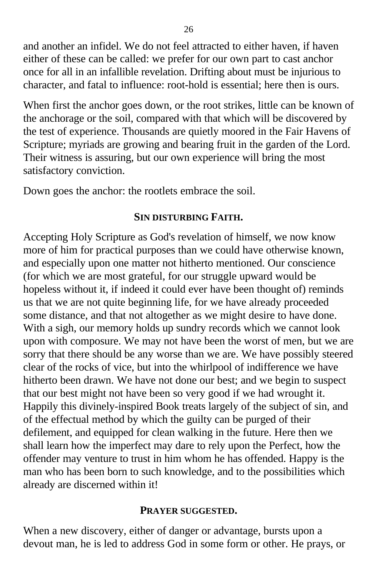and another an infidel. We do not feel attracted to either haven, if haven either of these can be called: we prefer for our own part to cast anchor once for all in an infallible revelation. Drifting about must be injurious to character, and fatal to influence: root-hold is essential; here then is ours.

When first the anchor goes down, or the root strikes, little can be known of the anchorage or the soil, compared with that which will be discovered by the test of experience. Thousands are quietly moored in the Fair Havens of Scripture; myriads are growing and bearing fruit in the garden of the Lord. Their witness is assuring, but our own experience will bring the most satisfactory conviction.

Down goes the anchor: the rootlets embrace the soil.

## **SIN DISTURBING FAITH.**

Accepting Holy Scripture as God's revelation of himself, we now know more of him for practical purposes than we could have otherwise known, and especially upon one matter not hitherto mentioned. Our conscience (for which we are most grateful, for our struggle upward would be hopeless without it, if indeed it could ever have been thought of) reminds us that we are not quite beginning life, for we have already proceeded some distance, and that not altogether as we might desire to have done. With a sigh, our memory holds up sundry records which we cannot look upon with composure. We may not have been the worst of men, but we are sorry that there should be any worse than we are. We have possibly steered clear of the rocks of vice, but into the whirlpool of indifference we have hitherto been drawn. We have not done our best; and we begin to suspect that our best might not have been so very good if we had wrought it. Happily this divinely-inspired Book treats largely of the subject of sin, and of the effectual method by which the guilty can be purged of their defilement, and equipped for clean walking in the future. Here then we shall learn how the imperfect may dare to rely upon the Perfect, how the offender may venture to trust in him whom he has offended. Happy is the man who has been born to such knowledge, and to the possibilities which already are discerned within it!

#### **PRAYER SUGGESTED.**

When a new discovery, either of danger or advantage, bursts upon a devout man, he is led to address God in some form or other. He prays, or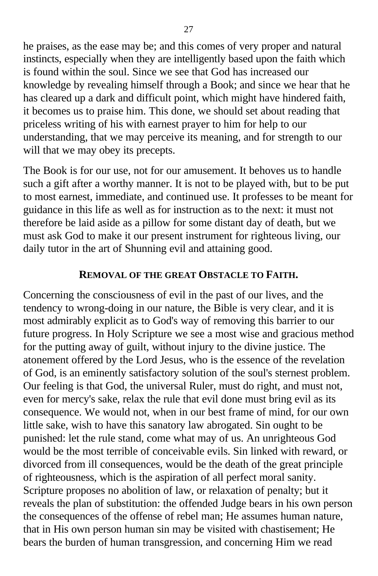he praises, as the ease may be; and this comes of very proper and natural instincts, especially when they are intelligently based upon the faith which is found within the soul. Since we see that God has increased our knowledge by revealing himself through a Book; and since we hear that he has cleared up a dark and difficult point, which might have hindered faith, it becomes us to praise him. This done, we should set about reading that priceless writing of his with earnest prayer to him for help to our understanding, that we may perceive its meaning, and for strength to our will that we may obey its precepts.

The Book is for our use, not for our amusement. It behoves us to handle such a gift after a worthy manner. It is not to be played with, but to be put to most earnest, immediate, and continued use. It professes to be meant for guidance in this life as well as for instruction as to the next: it must not therefore be laid aside as a pillow for some distant day of death, but we must ask God to make it our present instrument for righteous living, our daily tutor in the art of Shunning evil and attaining good.

#### **REMOVAL OF THE GREAT OBSTACLE TO FAITH.**

Concerning the consciousness of evil in the past of our lives, and the tendency to wrong-doing in our nature, the Bible is very clear, and it is most admirably explicit as to God's way of removing this barrier to our future progress. In Holy Scripture we see a most wise and gracious method for the putting away of guilt, without injury to the divine justice. The atonement offered by the Lord Jesus, who is the essence of the revelation of God, is an eminently satisfactory solution of the soul's sternest problem. Our feeling is that God, the universal Ruler, must do right, and must not, even for mercy's sake, relax the rule that evil done must bring evil as its consequence. We would not, when in our best frame of mind, for our own little sake, wish to have this sanatory law abrogated. Sin ought to be punished: let the rule stand, come what may of us. An unrighteous God would be the most terrible of conceivable evils. Sin linked with reward, or divorced from ill consequences, would be the death of the great principle of righteousness, which is the aspiration of all perfect moral sanity. Scripture proposes no abolition of law, or relaxation of penalty; but it reveals the plan of substitution: the offended Judge bears in his own person the consequences of the offense of rebel man; He assumes human nature, that in His own person human sin may be visited with chastisement; He bears the burden of human transgression, and concerning Him we read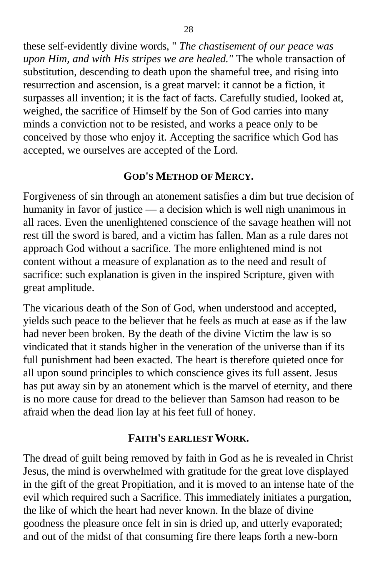these self-evidently divine words, " *The chastisement of our peace was upon Him, and with His stripes we are healed."* The whole transaction of substitution, descending to death upon the shameful tree, and rising into resurrection and ascension, is a great marvel: it cannot be a fiction, it surpasses all invention; it is the fact of facts. Carefully studied, looked at, weighed, the sacrifice of Himself by the Son of God carries into many minds a conviction not to be resisted, and works a peace only to be conceived by those who enjoy it. Accepting the sacrifice which God has accepted, we ourselves are accepted of the Lord.

## **GOD'S METHOD OF MERCY.**

Forgiveness of sin through an atonement satisfies a dim but true decision of humanity in favor of justice — a decision which is well nigh unanimous in all races. Even the unenlightened conscience of the savage heathen will not rest till the sword is bared, and a victim has fallen. Man as a rule dares not approach God without a sacrifice. The more enlightened mind is not content without a measure of explanation as to the need and result of sacrifice: such explanation is given in the inspired Scripture, given with great amplitude.

The vicarious death of the Son of God, when understood and accepted, yields such peace to the believer that he feels as much at ease as if the law had never been broken. By the death of the divine Victim the law is so vindicated that it stands higher in the veneration of the universe than if its full punishment had been exacted. The heart is therefore quieted once for all upon sound principles to which conscience gives its full assent. Jesus has put away sin by an atonement which is the marvel of eternity, and there is no more cause for dread to the believer than Samson had reason to be afraid when the dead lion lay at his feet full of honey.

#### **FAITH'S EARLIEST WORK.**

The dread of guilt being removed by faith in God as he is revealed in Christ Jesus, the mind is overwhelmed with gratitude for the great love displayed in the gift of the great Propitiation, and it is moved to an intense hate of the evil which required such a Sacrifice. This immediately initiates a purgation, the like of which the heart had never known. In the blaze of divine goodness the pleasure once felt in sin is dried up, and utterly evaporated; and out of the midst of that consuming fire there leaps forth a new-born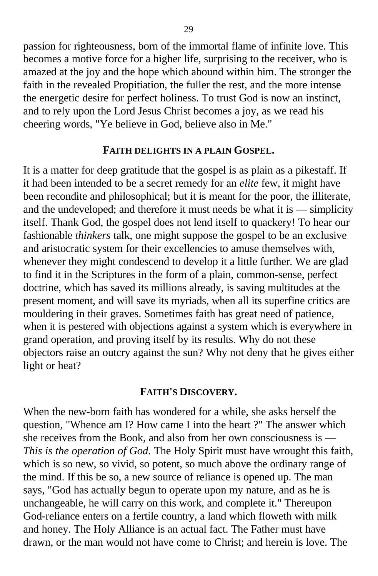passion for righteousness, born of the immortal flame of infinite love. This becomes a motive force for a higher life, surprising to the receiver, who is amazed at the joy and the hope which abound within him. The stronger the faith in the revealed Propitiation, the fuller the rest, and the more intense the energetic desire for perfect holiness. To trust God is now an instinct, and to rely upon the Lord Jesus Christ becomes a joy, as we read his cheering words, "Ye believe in God, believe also in Me."

#### **FAITH DELIGHTS IN A PLAIN GOSPEL.**

It is a matter for deep gratitude that the gospel is as plain as a pikestaff. If it had been intended to be a secret remedy for an *elite* few, it might have been recondite and philosophical; but it is meant for the poor, the illiterate, and the undeveloped; and therefore it must needs be what it is — simplicity itself. Thank God, the gospel does not lend itself to quackery! To hear our fashionable *thinkers* talk, one might suppose the gospel to be an exclusive and aristocratic system for their excellencies to amuse themselves with, whenever they might condescend to develop it a little further. We are glad to find it in the Scriptures in the form of a plain, common-sense, perfect doctrine, which has saved its millions already, is saving multitudes at the present moment, and will save its myriads, when all its superfine critics are mouldering in their graves. Sometimes faith has great need of patience, when it is pestered with objections against a system which is everywhere in grand operation, and proving itself by its results. Why do not these objectors raise an outcry against the sun? Why not deny that he gives either light or heat?

#### **FAITH'S DISCOVERY.**

When the new-born faith has wondered for a while, she asks herself the question, "Whence am I? How came I into the heart ?" The answer which she receives from the Book, and also from her own consciousness is — *This is the operation of God.* The Holy Spirit must have wrought this faith, which is so new, so vivid, so potent, so much above the ordinary range of the mind. If this be so, a new source of reliance is opened up. The man says, "God has actually begun to operate upon my nature, and as he is unchangeable, he will carry on this work, and complete it." Thereupon God-reliance enters on a fertile country, a land which floweth with milk and honey. The Holy Alliance is an actual fact. The Father must have drawn, or the man would not have come to Christ; and herein is love. The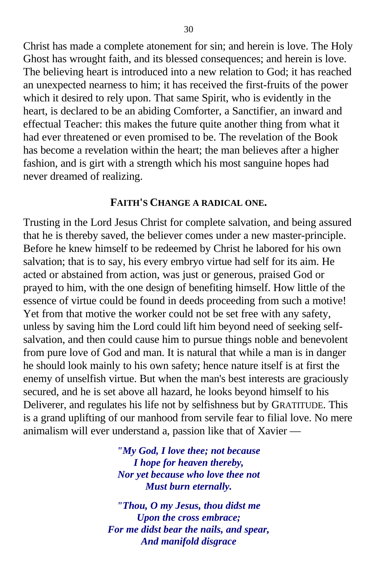Christ has made a complete atonement for sin; and herein is love. The Holy Ghost has wrought faith, and its blessed consequences; and herein is love. The believing heart is introduced into a new relation to God; it has reached an unexpected nearness to him; it has received the first-fruits of the power which it desired to rely upon. That same Spirit, who is evidently in the heart, is declared to be an abiding Comforter, a Sanctifier, an inward and effectual Teacher: this makes the future quite another thing from what it had ever threatened or even promised to be. The revelation of the Book has become a revelation within the heart; the man believes after a higher fashion, and is girt with a strength which his most sanguine hopes had never dreamed of realizing.

#### **FAITH'S CHANGE A RADICAL ONE.**

Trusting in the Lord Jesus Christ for complete salvation, and being assured that he is thereby saved, the believer comes under a new master-principle. Before he knew himself to be redeemed by Christ he labored for his own salvation; that is to say, his every embryo virtue had self for its aim. He acted or abstained from action, was just or generous, praised God or prayed to him, with the one design of benefiting himself. How little of the essence of virtue could be found in deeds proceeding from such a motive! Yet from that motive the worker could not be set free with any safety, unless by saving him the Lord could lift him beyond need of seeking selfsalvation, and then could cause him to pursue things noble and benevolent from pure love of God and man. It is natural that while a man is in danger he should look mainly to his own safety; hence nature itself is at first the enemy of unselfish virtue. But when the man's best interests are graciously secured, and he is set above all hazard, he looks beyond himself to his Deliverer, and regulates his life not by selfishness but by GRATITUDE. This is a grand uplifting of our manhood from servile fear to filial love. No mere animalism will ever understand a, passion like that of Xavier —

> *"My God, I love thee; not because I hope for heaven thereby, Nor yet because who love thee not Must burn eternally.*

*"Thou, O my Jesus, thou didst me Upon the cross embrace; For me didst bear the nails, and spear, And manifold disgrace*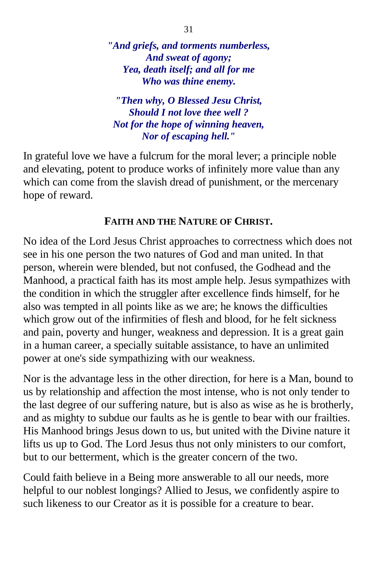*"And griefs, and torments numberless, And sweat of agony; Yea, death itself; and all for me Who was thine enemy.*

*"Then why, O Blessed Jesu Christ, Should I not love thee well ? Not for the hope of winning heaven, Nor of escaping hell."*

In grateful love we have a fulcrum for the moral lever; a principle noble and elevating, potent to produce works of infinitely more value than any which can come from the slavish dread of punishment, or the mercenary hope of reward.

## **FAITH AND THE NATURE OF CHRIST.**

No idea of the Lord Jesus Christ approaches to correctness which does not see in his one person the two natures of God and man united. In that person, wherein were blended, but not confused, the Godhead and the Manhood, a practical faith has its most ample help. Jesus sympathizes with the condition in which the struggler after excellence finds himself, for he also was tempted in all points like as we are; he knows the difficulties which grow out of the infirmities of flesh and blood, for he felt sickness and pain, poverty and hunger, weakness and depression. It is a great gain in a human career, a specially suitable assistance, to have an unlimited power at one's side sympathizing with our weakness.

Nor is the advantage less in the other direction, for here is a Man, bound to us by relationship and affection the most intense, who is not only tender to the last degree of our suffering nature, but is also as wise as he is brotherly, and as mighty to subdue our faults as he is gentle to bear with our frailties. His Manhood brings Jesus down to us, but united with the Divine nature it lifts us up to God. The Lord Jesus thus not only ministers to our comfort, but to our betterment, which is the greater concern of the two.

Could faith believe in a Being more answerable to all our needs, more helpful to our noblest longings? Allied to Jesus, we confidently aspire to such likeness to our Creator as it is possible for a creature to bear.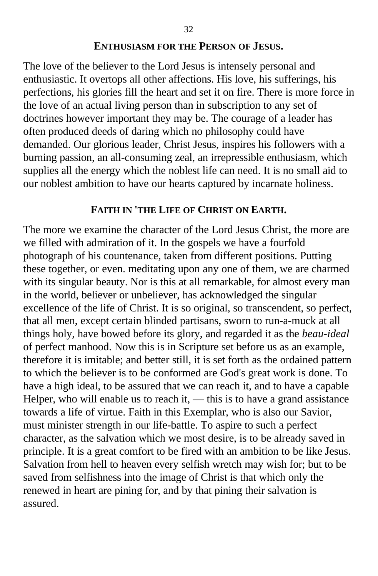#### **ENTHUSIASM FOR THE PERSON OF JESUS.**

The love of the believer to the Lord Jesus is intensely personal and enthusiastic. It overtops all other affections. His love, his sufferings, his perfections, his glories fill the heart and set it on fire. There is more force in the love of an actual living person than in subscription to any set of doctrines however important they may be. The courage of a leader has often produced deeds of daring which no philosophy could have demanded. Our glorious leader, Christ Jesus, inspires his followers with a burning passion, an all-consuming zeal, an irrepressible enthusiasm, which supplies all the energy which the noblest life can need. It is no small aid to our noblest ambition to have our hearts captured by incarnate holiness.

## **FAITH IN 'THE LIFE OF CHRIST ON EARTH.**

The more we examine the character of the Lord Jesus Christ, the more are we filled with admiration of it. In the gospels we have a fourfold photograph of his countenance, taken from different positions. Putting these together, or even. meditating upon any one of them, we are charmed with its singular beauty. Nor is this at all remarkable, for almost every man in the world, believer or unbeliever, has acknowledged the singular excellence of the life of Christ. It is so original, so transcendent, so perfect, that all men, except certain blinded partisans, sworn to run-a-muck at all things holy, have bowed before its glory, and regarded it as the *beau-ideal* of perfect manhood. Now this is in Scripture set before us as an example, therefore it is imitable; and better still, it is set forth as the ordained pattern to which the believer is to be conformed are God's great work is done. To have a high ideal, to be assured that we can reach it, and to have a capable Helper, who will enable us to reach it,  $-$  this is to have a grand assistance towards a life of virtue. Faith in this Exemplar, who is also our Savior, must minister strength in our life-battle. To aspire to such a perfect character, as the salvation which we most desire, is to be already saved in principle. It is a great comfort to be fired with an ambition to be like Jesus. Salvation from hell to heaven every selfish wretch may wish for; but to be saved from selfishness into the image of Christ is that which only the renewed in heart are pining for, and by that pining their salvation is assured.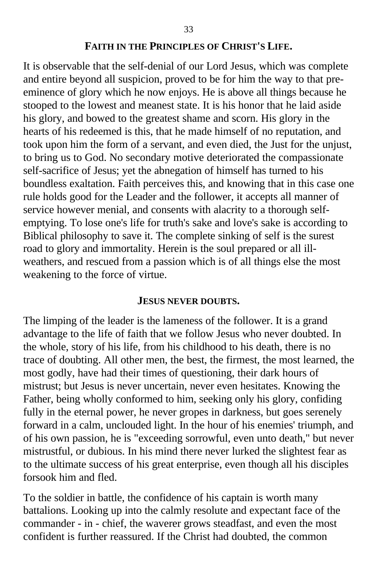#### **FAITH IN THE PRINCIPLES OF CHRIST'S LIFE.**

It is observable that the self-denial of our Lord Jesus, which was complete and entire beyond all suspicion, proved to be for him the way to that preeminence of glory which he now enjoys. He is above all things because he stooped to the lowest and meanest state. It is his honor that he laid aside his glory, and bowed to the greatest shame and scorn. His glory in the hearts of his redeemed is this, that he made himself of no reputation, and took upon him the form of a servant, and even died, the Just for the unjust, to bring us to God. No secondary motive deteriorated the compassionate self-sacrifice of Jesus; yet the abnegation of himself has turned to his boundless exaltation. Faith perceives this, and knowing that in this case one rule holds good for the Leader and the follower, it accepts all manner of service however menial, and consents with alacrity to a thorough selfemptying. To lose one's life for truth's sake and love's sake is according to Biblical philosophy to save it. The complete sinking of self is the surest road to glory and immortality. Herein is the soul prepared or all illweathers, and rescued from a passion which is of all things else the most weakening to the force of virtue.

#### **JESUS NEVER DOUBTS.**

The limping of the leader is the lameness of the follower. It is a grand advantage to the life of faith that we follow Jesus who never doubted. In the whole, story of his life, from his childhood to his death, there is no trace of doubting. All other men, the best, the firmest, the most learned, the most godly, have had their times of questioning, their dark hours of mistrust; but Jesus is never uncertain, never even hesitates. Knowing the Father, being wholly conformed to him, seeking only his glory, confiding fully in the eternal power, he never gropes in darkness, but goes serenely forward in a calm, unclouded light. In the hour of his enemies' triumph, and of his own passion, he is "exceeding sorrowful, even unto death," but never mistrustful, or dubious. In his mind there never lurked the slightest fear as to the ultimate success of his great enterprise, even though all his disciples forsook him and fled.

To the soldier in battle, the confidence of his captain is worth many battalions. Looking up into the calmly resolute and expectant face of the commander - in - chief, the waverer grows steadfast, and even the most confident is further reassured. If the Christ had doubted, the common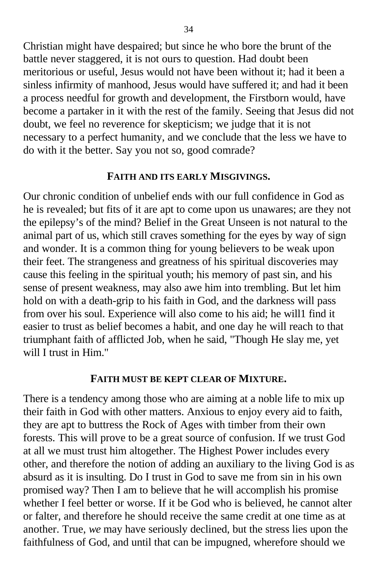Christian might have despaired; but since he who bore the brunt of the battle never staggered, it is not ours to question. Had doubt been meritorious or useful, Jesus would not have been without it; had it been a sinless infirmity of manhood, Jesus would have suffered it; and had it been a process needful for growth and development, the Firstborn would, have become a partaker in it with the rest of the family. Seeing that Jesus did not doubt, we feel no reverence for skepticism; we judge that it is not necessary to a perfect humanity, and we conclude that the less we have to do with it the better. Say you not so, good comrade?

#### **FAITH AND ITS EARLY MISGIVINGS.**

Our chronic condition of unbelief ends with our full confidence in God as he is revealed; but fits of it are apt to come upon us unawares; are they not the epilepsy's of the mind? Belief in the Great Unseen is not natural to the animal part of us, which still craves something for the eyes by way of sign and wonder. It is a common thing for young believers to be weak upon their feet. The strangeness and greatness of his spiritual discoveries may cause this feeling in the spiritual youth; his memory of past sin, and his sense of present weakness, may also awe him into trembling. But let him hold on with a death-grip to his faith in God, and the darkness will pass from over his soul. Experience will also come to his aid; he will1 find it easier to trust as belief becomes a habit, and one day he will reach to that triumphant faith of afflicted Job, when he said, "Though He slay me, yet will I trust in Him."

#### **FAITH MUST BE KEPT CLEAR OF MIXTURE.**

There is a tendency among those who are aiming at a noble life to mix up their faith in God with other matters. Anxious to enjoy every aid to faith, they are apt to buttress the Rock of Ages with timber from their own forests. This will prove to be a great source of confusion. If we trust God at all we must trust him altogether. The Highest Power includes every other, and therefore the notion of adding an auxiliary to the living God is as absurd as it is insulting. Do I trust in God to save me from sin in his own promised way? Then I am to believe that he will accomplish his promise whether I feel better or worse. If it be God who is believed, he cannot alter or falter, and therefore he should receive the same credit at one time as at another. True, *we* may have seriously declined, but the stress lies upon the faithfulness of God, and until that can be impugned, wherefore should we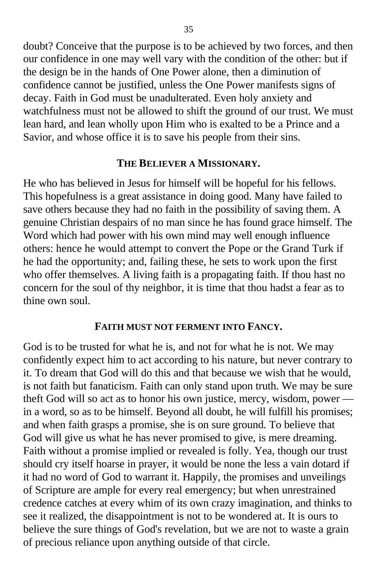doubt? Conceive that the purpose is to be achieved by two forces, and then our confidence in one may well vary with the condition of the other: but if the design be in the hands of One Power alone, then a diminution of confidence cannot be justified, unless the One Power manifests signs of decay. Faith in God must be unadulterated. Even holy anxiety and watchfulness must not be allowed to shift the ground of our trust. We must lean hard, and lean wholly upon Him who is exalted to be a Prince and a Savior, and whose office it is to save his people from their sins.

#### **THE BELIEVER A MISSIONARY.**

He who has believed in Jesus for himself will be hopeful for his fellows. This hopefulness is a great assistance in doing good. Many have failed to save others because they had no faith in the possibility of saving them. A genuine Christian despairs of no man since he has found grace himself. The Word which had power with his own mind may well enough influence others: hence he would attempt to convert the Pope or the Grand Turk if he had the opportunity; and, failing these, he sets to work upon the first who offer themselves. A living faith is a propagating faith. If thou hast no concern for the soul of thy neighbor, it is time that thou hadst a fear as to thine own soul.

#### **FAITH MUST NOT FERMENT INTO FANCY.**

God is to be trusted for what he is, and not for what he is not. We may confidently expect him to act according to his nature, but never contrary to it. To dream that God will do this and that because we wish that he would, is not faith but fanaticism. Faith can only stand upon truth. We may be sure theft God will so act as to honor his own justice, mercy, wisdom, power in a word, so as to be himself. Beyond all doubt, he will fulfill his promises; and when faith grasps a promise, she is on sure ground. To believe that God will give us what he has never promised to give, is mere dreaming. Faith without a promise implied or revealed is folly. Yea, though our trust should cry itself hoarse in prayer, it would be none the less a vain dotard if it had no word of God to warrant it. Happily, the promises and unveilings of Scripture are ample for every real emergency; but when unrestrained credence catches at every whim of its own crazy imagination, and thinks to see it realized, the disappointment is not to be wondered at. It is ours to believe the sure things of God's revelation, but we are not to waste a grain of precious reliance upon anything outside of that circle.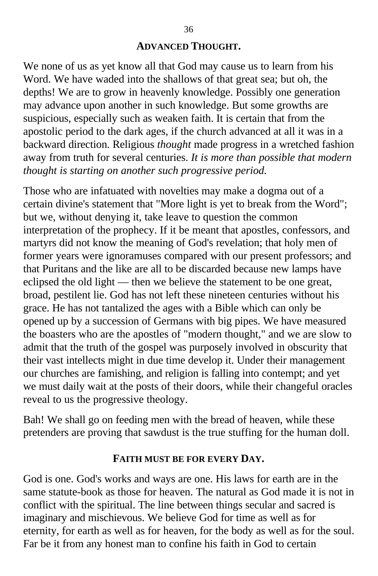#### **ADVANCED THOUGHT.**

We none of us as yet know all that God may cause us to learn from his Word. We have waded into the shallows of that great sea; but oh, the depths! We are to grow in heavenly knowledge. Possibly one generation may advance upon another in such knowledge. But some growths are suspicious, especially such as weaken faith. It is certain that from the apostolic period to the dark ages, if the church advanced at all it was in a backward direction. Religious *thought* made progress in a wretched fashion away from truth for several centuries. *It is more than possible that modern thought is starting on another such progressive period.*

Those who are infatuated with novelties may make a dogma out of a certain divine's statement that "More light is yet to break from the Word"; but we, without denying it, take leave to question the common interpretation of the prophecy. If it be meant that apostles, confessors, and martyrs did not know the meaning of God's revelation; that holy men of former years were ignoramuses compared with our present professors; and that Puritans and the like are all to be discarded because new lamps have eclipsed the old light — then we believe the statement to be one great, broad, pestilent lie. God has not left these nineteen centuries without his grace. He has not tantalized the ages with a Bible which can only be opened up by a succession of Germans with big pipes. We have measured the boasters who are the apostles of "modern thought," and we are slow to admit that the truth of the gospel was purposely involved in obscurity that their vast intellects might in due time develop it. Under their management our churches are famishing, and religion is falling into contempt; and yet we must daily wait at the posts of their doors, while their changeful oracles reveal to us the progressive theology.

Bah! We shall go on feeding men with the bread of heaven, while these pretenders are proving that sawdust is the true stuffing for the human doll.

#### **FAITH MUST BE FOR EVERY DAY.**

God is one. God's works and ways are one. His laws for earth are in the same statute-book as those for heaven. The natural as God made it is not in conflict with the spiritual. The line between things secular and sacred is imaginary and mischievous. We believe God for time as well as for eternity, for earth as well as for heaven, for the body as well as for the soul. Far be it from any honest man to confine his faith in God to certain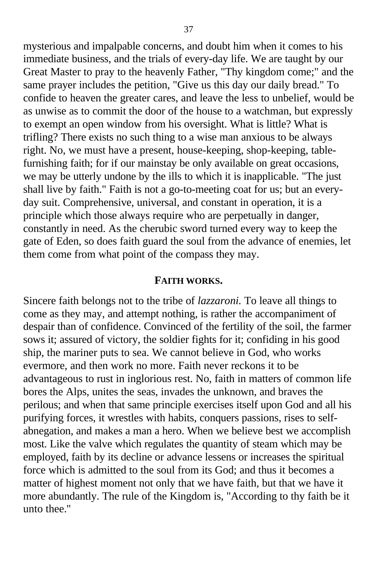mysterious and impalpable concerns, and doubt him when it comes to his immediate business, and the trials of every-day life. We are taught by our Great Master to pray to the heavenly Father, "Thy kingdom come;" and the same prayer includes the petition, "Give us this day our daily bread." To confide to heaven the greater cares, and leave the less to unbelief, would be as unwise as to commit the door of the house to a watchman, but expressly to exempt an open window from his oversight. What is little? What is trifling? There exists no such thing to a wise man anxious to be always right. No, we must have a present, house-keeping, shop-keeping, tablefurnishing faith; for if our mainstay be only available on great occasions, we may be utterly undone by the ills to which it is inapplicable. "The just shall live by faith." Faith is not a go-to-meeting coat for us; but an everyday suit. Comprehensive, universal, and constant in operation, it is a principle which those always require who are perpetually in danger, constantly in need. As the cherubic sword turned every way to keep the gate of Eden, so does faith guard the soul from the advance of enemies, let them come from what point of the compass they may.

#### **FAITH WORKS.**

Sincere faith belongs not to the tribe of *lazzaroni.* To leave all things to come as they may, and attempt nothing, is rather the accompaniment of despair than of confidence. Convinced of the fertility of the soil, the farmer sows it; assured of victory, the soldier fights for it; confiding in his good ship, the mariner puts to sea. We cannot believe in God, who works evermore, and then work no more. Faith never reckons it to be advantageous to rust in inglorious rest. No, faith in matters of common life bores the Alps, unites the seas, invades the unknown, and braves the perilous; and when that same principle exercises itself upon God and all his purifying forces, it wrestles with habits, conquers passions, rises to selfabnegation, and makes a man a hero. When we believe best we accomplish most. Like the valve which regulates the quantity of steam which may be employed, faith by its decline or advance lessens or increases the spiritual force which is admitted to the soul from its God; and thus it becomes a matter of highest moment not only that we have faith, but that we have it more abundantly. The rule of the Kingdom is, "According to thy faith be it unto thee.''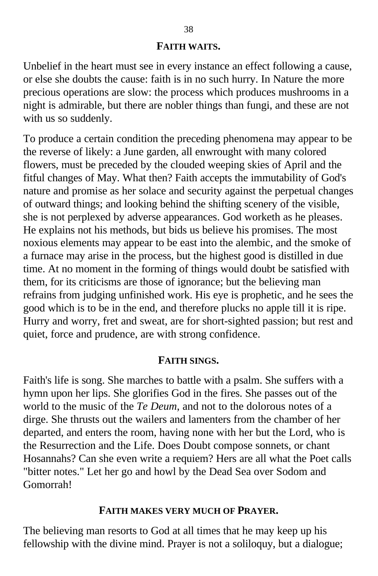#### **FAITH WAITS.**

Unbelief in the heart must see in every instance an effect following a cause, or else she doubts the cause: faith is in no such hurry. In Nature the more precious operations are slow: the process which produces mushrooms in a night is admirable, but there are nobler things than fungi, and these are not with us so suddenly.

To produce a certain condition the preceding phenomena may appear to be the reverse of likely: a June garden, all enwrought with many colored flowers, must be preceded by the clouded weeping skies of April and the fitful changes of May. What then? Faith accepts the immutability of God's nature and promise as her solace and security against the perpetual changes of outward things; and looking behind the shifting scenery of the visible, she is not perplexed by adverse appearances. God worketh as he pleases. He explains not his methods, but bids us believe his promises. The most noxious elements may appear to be east into the alembic, and the smoke of a furnace may arise in the process, but the highest good is distilled in due time. At no moment in the forming of things would doubt be satisfied with them, for its criticisms are those of ignorance; but the believing man refrains from judging unfinished work. His eye is prophetic, and he sees the good which is to be in the end, and therefore plucks no apple till it is ripe. Hurry and worry, fret and sweat, are for short-sighted passion; but rest and quiet, force and prudence, are with strong confidence.

#### **FAITH SINGS.**

Faith's life is song. She marches to battle with a psalm. She suffers with a hymn upon her lips. She glorifies God in the fires. She passes out of the world to the music of the *Te Deum*, and not to the dolorous notes of a dirge. She thrusts out the wailers and lamenters from the chamber of her departed, and enters the room, having none with her but the Lord, who is the Resurrection and the Life. Does Doubt compose sonnets, or chant Hosannahs? Can she even write a requiem? Hers are all what the Poet calls "bitter notes." Let her go and howl by the Dead Sea over Sodom and Gomorrah!

## **FAITH MAKES VERY MUCH OF PRAYER.**

The believing man resorts to God at all times that he may keep up his fellowship with the divine mind. Prayer is not a soliloquy, but a dialogue;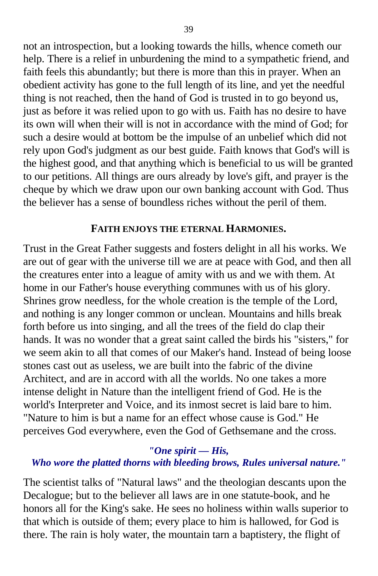not an introspection, but a looking towards the hills, whence cometh our help. There is a relief in unburdening the mind to a sympathetic friend, and faith feels this abundantly; but there is more than this in prayer. When an obedient activity has gone to the full length of its line, and yet the needful thing is not reached, then the hand of God is trusted in to go beyond us, just as before it was relied upon to go with us. Faith has no desire to have its own will when their will is not in accordance with the mind of God; for such a desire would at bottom be the impulse of an unbelief which did not rely upon God's judgment as our best guide. Faith knows that God's will is the highest good, and that anything which is beneficial to us will be granted to our petitions. All things are ours already by love's gift, and prayer is the cheque by which we draw upon our own banking account with God. Thus the believer has a sense of boundless riches without the peril of them.

#### **FAITH ENJOYS THE ETERNAL HARMONIES.**

Trust in the Great Father suggests and fosters delight in all his works. We are out of gear with the universe till we are at peace with God, and then all the creatures enter into a league of amity with us and we with them. At home in our Father's house everything communes with us of his glory. Shrines grow needless, for the whole creation is the temple of the Lord, and nothing is any longer common or unclean. Mountains and hills break forth before us into singing, and all the trees of the field do clap their hands. It was no wonder that a great saint called the birds his "sisters," for we seem akin to all that comes of our Maker's hand. Instead of being loose stones cast out as useless, we are built into the fabric of the divine Architect, and are in accord with all the worlds. No one takes a more intense delight in Nature than the intelligent friend of God. He is the world's Interpreter and Voice, and its inmost secret is laid bare to him. "Nature to him is but a name for an effect whose cause is God." He perceives God everywhere, even the God of Gethsemane and the cross.

## *"One spirit — His,*

#### *Who wore the platted thorns with bleeding brows, Rules universal nature."*

The scientist talks of "Natural laws" and the theologian descants upon the Decalogue; but to the believer all laws are in one statute-book, and he honors all for the King's sake. He sees no holiness within walls superior to that which is outside of them; every place to him is hallowed, for God is there. The rain is holy water, the mountain tarn a baptistery, the flight of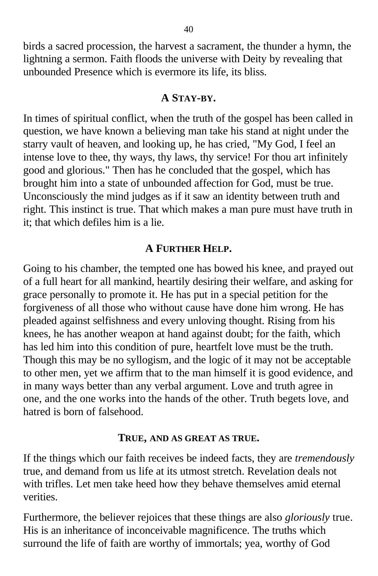birds a sacred procession, the harvest a sacrament, the thunder a hymn, the lightning a sermon. Faith floods the universe with Deity by revealing that unbounded Presence which is evermore its life, its bliss.

## **A STAY-BY.**

In times of spiritual conflict, when the truth of the gospel has been called in question, we have known a believing man take his stand at night under the starry vault of heaven, and looking up, he has cried, "My God, I feel an intense love to thee, thy ways, thy laws, thy service! For thou art infinitely good and glorious." Then has he concluded that the gospel, which has brought him into a state of unbounded affection for God, must be true. Unconsciously the mind judges as if it saw an identity between truth and right. This instinct is true. That which makes a man pure must have truth in it; that which defiles him is a lie.

## **A FURTHER HELP.**

Going to his chamber, the tempted one has bowed his knee, and prayed out of a full heart for all mankind, heartily desiring their welfare, and asking for grace personally to promote it. He has put in a special petition for the forgiveness of all those who without cause have done him wrong. He has pleaded against selfishness and every unloving thought. Rising from his knees, he has another weapon at hand against doubt; for the faith, which has led him into this condition of pure, heartfelt love must be the truth. Though this may be no syllogism, and the logic of it may not be acceptable to other men, yet we affirm that to the man himself it is good evidence, and in many ways better than any verbal argument. Love and truth agree in one, and the one works into the hands of the other. Truth begets love, and hatred is born of falsehood.

#### **TRUE, AND AS GREAT AS TRUE.**

If the things which our faith receives be indeed facts, they are *tremendously* true, and demand from us life at its utmost stretch. Revelation deals not with trifles. Let men take heed how they behave themselves amid eternal verities.

Furthermore, the believer rejoices that these things are also *gloriously* true. His is an inheritance of inconceivable magnificence. The truths which surround the life of faith are worthy of immortals; yea, worthy of God